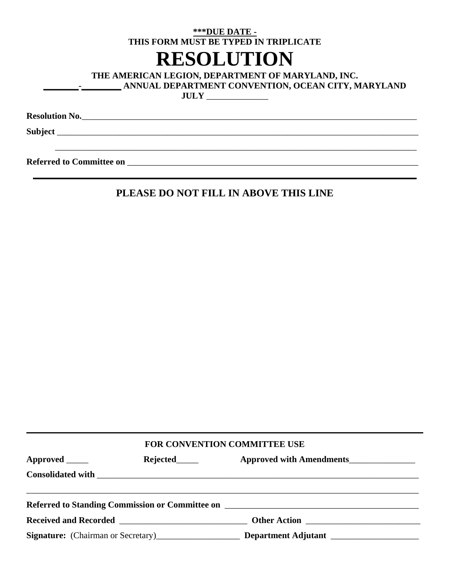## **\*\*\*DUE DATE - THIS FORM MUST BE TYPED IN TRIPLICATE**

## **RESOLUTION**

**THE AMERICAN LEGION, DEPARTMENT OF MARYLAND, INC.** 

**\_\_\_\_\_\_\_\_-\_\_\_\_\_\_\_\_\_ ANNUAL DEPARTMENT CONVENTION, OCEAN CITY, MARYLAND** 

**JULY** \_\_\_\_\_\_\_\_\_\_\_\_\_\_

**Resolution No.**\_\_\_\_\_\_\_\_\_\_\_\_\_\_\_\_\_\_\_\_\_\_\_\_\_\_\_\_\_\_\_\_\_\_\_\_\_\_\_\_\_\_\_\_\_\_\_\_\_\_\_\_\_\_\_\_\_\_\_\_\_\_\_\_\_\_\_\_\_\_\_\_\_\_\_\_

**Subject** \_\_\_\_\_\_\_\_\_\_\_\_\_\_\_\_\_\_\_\_\_\_\_\_\_\_\_\_\_\_\_\_\_\_\_\_\_\_\_\_\_\_\_\_\_\_\_\_\_\_\_\_\_\_\_\_\_\_\_\_\_\_\_\_\_\_\_\_\_\_\_\_\_\_\_\_\_\_\_\_\_\_

Referred to Committee on

## **PLEASE DO NOT FILL IN ABOVE THIS LINE**

\_\_\_\_\_\_\_\_\_\_\_\_\_\_\_\_\_\_\_\_\_\_\_\_\_\_\_\_\_\_\_\_\_\_\_\_\_\_\_\_\_\_\_\_\_\_\_\_\_\_\_\_\_\_\_\_\_\_\_\_\_\_\_\_\_\_\_\_\_\_\_\_\_\_\_\_\_\_\_\_\_\_

|                                                                                                                                                                                                                                      |                | <b>FOR CONVENTION COMMITTEE USE</b>                                                                                   |  |
|--------------------------------------------------------------------------------------------------------------------------------------------------------------------------------------------------------------------------------------|----------------|-----------------------------------------------------------------------------------------------------------------------|--|
|                                                                                                                                                                                                                                      | Rejected______ | Approved with Amendments                                                                                              |  |
|                                                                                                                                                                                                                                      |                |                                                                                                                       |  |
|                                                                                                                                                                                                                                      |                | Referred to Standing Commission or Committee on <b>Exercía Exercía Exercía Exercía Exercía Exercía Exercía Exercí</b> |  |
| Received and Recorded <b>Executive Contract Contract Contract Contract Contract Contract Contract Contract Contract Contract Contract Contract Contract Contract Contract Contract Contract Contract Contract Contract Contract </b> |                |                                                                                                                       |  |
| Signature: (Chairman or Secretary) Department Adjutant _________________________                                                                                                                                                     |                |                                                                                                                       |  |